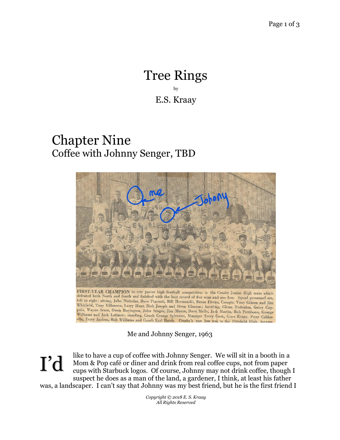## Tree Rings by E.S. Kraay

## Chapter Nine Coffee with Johnny Senger, TBD



Whitfield, Tony Villanova, Larry Hunt, Dick Joseph and Steve Gleason; kneeling, Glenn Hodenius, Gerry Coppola, Wayne Scace, Owen Boyington, John Senger, Jim Moore, Dave Melle, Jack Martin, Bob Pettibone, George Williams and Jack Latimer; standing, Coach George Sylvester, Manager Terry Cook, Gene Kraay, Peter Calderella, Terry Andrus, Bob Williams and Coach Earl Hatch. Crosby's one loss was to the Pittsfield High javvees

Me and Johnny Senger, 1963

like to have a cup of coffee with Johnny Senger. We will sit in a booth in a Mom & Pop café or diner and drink from real coffee cups, not from paper cups with Starbuck logos. Of course, Johnny may not drink coffee, though I suspect he does as a man of the land, a gardener, I think, at least his father was, a landscaper. I can't say that Johnny was my best friend, but he is the first friend I I'd

> *Copyright © 2018 E. S. Kraay All Rights Reserved*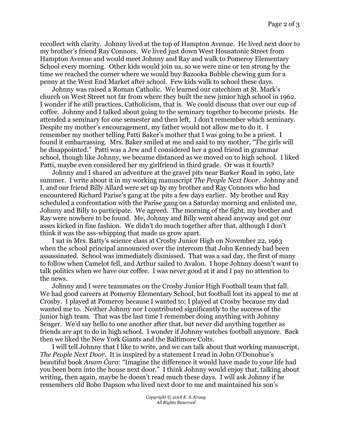recollect with clarity. Johnny lived at the top of Hampton Avenue. He lived next door to my brother's friend Ray Connors. We lived just down West Housatonic Street from Hampton Avenue and would meet Johnny and Ray and walk to Pomeroy Elementary School every morning. Other kids would join us, so we were nine or ten strong by the time we reached the corner where we would buy Bazooka Bubble chewing gum for a penny at the West End Market after school. Few kids walk to school these days.

Johnny was raised a Roman Catholic. We learned our catechism at St. Mark's church on West Street not far from where they built the new junior high school in 1962. I wonder if he still practices, Catholicism, that is. We could discuss that over our cup of coffee. Johnny and I talked about going to the seminary together to become priests. He attended a seminary for one semester and then left. I don't remember which seminary. Despite my mother's encouragement, my father would not allow me to do it. I remember my mother telling Patti Baker's mother that I was going to be a priest. I found it embarrassing. Mrs. Baker smiled at me and said to my mother, "The girls will be disappointed." Patti was a Jew and I considered her a good friend in grammar school, though like Johnny, we became distanced as we moved on to high school. I liked Patti, maybe even considered her my girlfriend in third grade. Or was it fourth?

Johnny and I shared an adventure at the gravel pits near Barker Road in 1960, late summer. I write about it in my working manuscript *The People Next Door*. Johnny and I, and our friend Billy Allard were set up by my brother and Ray Connors who had encountered Richard Parise's gang at the pits a few days earlier. My brother and Ray scheduled a confrontation with the Parise gang on a Saturday morning and enlisted me, Johnny and Billy to participate. We agreed. The morning of the fight, my brother and Ray were nowhere to be found. Me, Johnny and Billy went ahead anyway and got our asses kicked in fine fashion. We didn't do much together after that, although I don't think it was the ass-whipping that made us grow apart.

I sat in Mrs. Batty's science class at Crosby Junior High on November 22, 1963 when the school principal announced over the intercom that John Kennedy had been assassinated. School was immediately dismissed. That was a sad day, the first of many to follow when Camelot fell, and Arthur sailed to Avalon. I hope Johnny doesn't want to talk politics when we have our coffee. I was never good at it and I pay no attention to the news.

Johnny and I were teammates on the Crosby Junior High Football team that fall. We had good careers at Pomeroy Elementary School, but football lost its appeal to me at Crosby. I played at Pomeroy because I wanted to; I played at Crosby because my dad wanted me to. Neither Johnny nor I contributed significantly to the success of the junior high team. That was the last time I remember doing anything with Johnny Senger. We'd say hello to one another after that, but never did anything together as friends are apt to do in high school. I wonder if Johnny watches football anymore. Back then we liked the New York Giants and the Baltimore Colts.

I will tell Johnny that I like to write, and we can talk about that working manuscript, *The People Next Door*. It is inspired by a statement I read in John O'Donohue's beautiful book *Anam Ċara*: "Imagine the difference it would have made to your life had you been born into the house next door." I think Johnny would enjoy that, talking about writing, then again, maybe he doesn't read much these days. I will ask Johnny if he remembers old Bobo Dapson who lived next door to me and maintained his son's